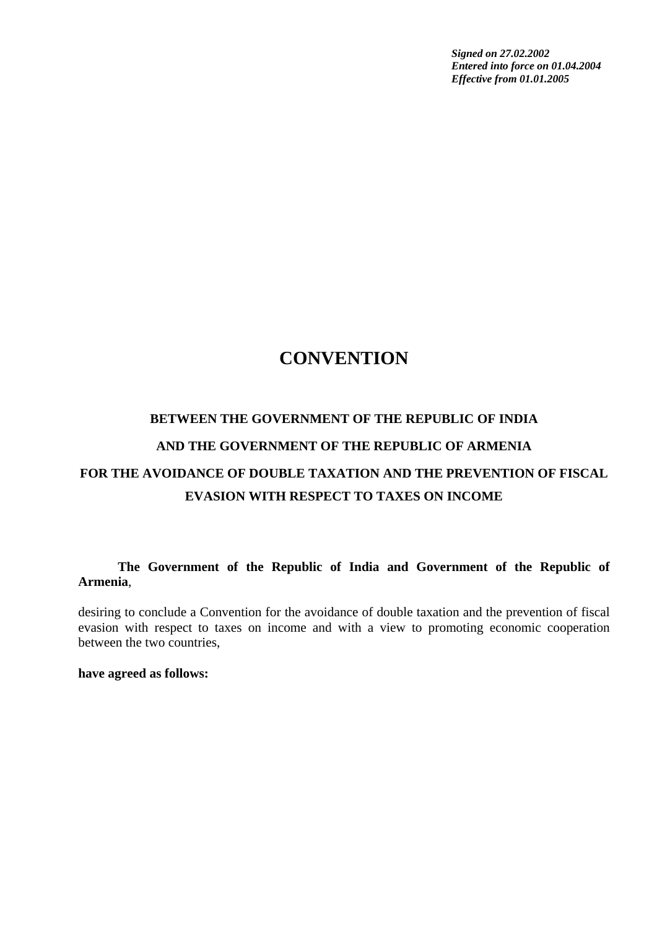*Signed on 27.02.2002 Entered into force on 01.04.2004 Effective from 01.01.2005* 

# **CONVENTION**

# **BETWEEN THE GOVERNMENT OF THE REPUBLIC OF INDIA AND THE GOVERNMENT OF THE REPUBLIC OF ARMENIA**

# **FOR THE AVOIDANCE OF DOUBLE TAXATION AND THE PREVENTION OF FISCAL EVASION WITH RESPECT TO TAXES ON INCOME**

**The Government of the Republic of India and Government of the Republic of Armenia**,

desiring to conclude a Convention for the avoidance of double taxation and the prevention of fiscal evasion with respect to taxes on income and with a view to promoting economic cooperation between the two countries,

#### **have agreed as follows:**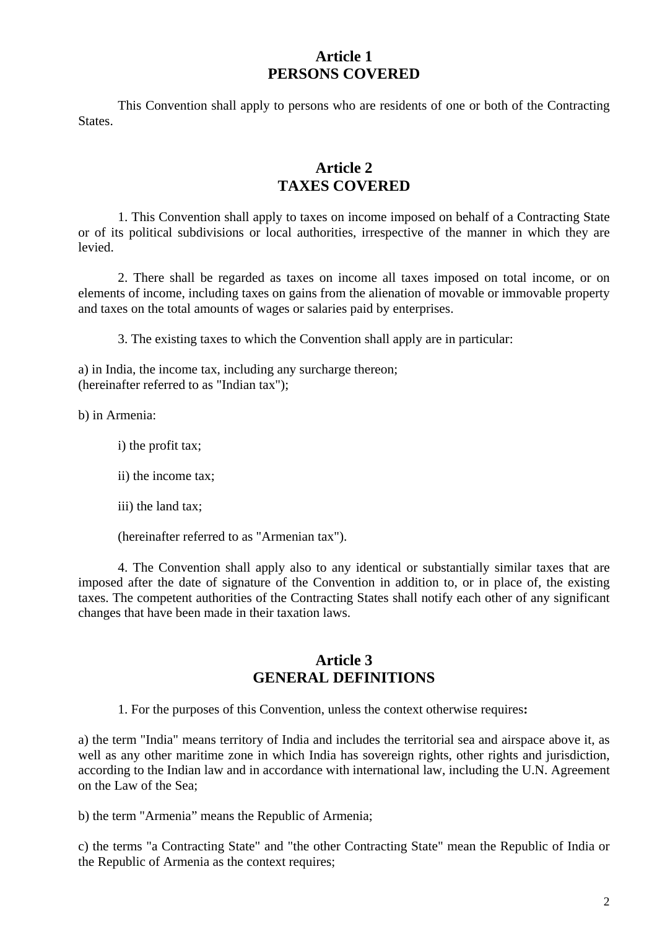## **Article 1 PERSONS COVERED**

This Convention shall apply to persons who are residents of one or both of the Contracting States.

## **Article 2 TAXES COVERED**

1. This Convention shall apply to taxes on income imposed on behalf of a Contracting State or of its political subdivisions or local authorities, irrespective of the manner in which they are levied.

2. There shall be regarded as taxes on income all taxes imposed on total income, or on elements of income, including taxes on gains from the alienation of movable or immovable property and taxes on the total amounts of wages or salaries paid by enterprises.

3. The existing taxes to which the Convention shall apply are in particular:

a) in India, the income tax, including any surcharge thereon; (hereinafter referred to as "Indian tax");

b) in Armenia:

i) the profit tax;

ii) the income tax;

iii) the land tax;

(hereinafter referred to as "Armenian tax").

4. The Convention shall apply also to any identical or substantially similar taxes that are imposed after the date of signature of the Convention in addition to, or in place of, the existing taxes. The competent authorities of the Contracting States shall notify each other of any significant changes that have been made in their taxation laws.

#### **Article 3 GENERAL DEFINITIONS**

1. For the purposes of this Convention, unless the context otherwise requires**:**

a) the term "India" means territory of India and includes the territorial sea and airspace above it, as well as any other maritime zone in which India has sovereign rights, other rights and jurisdiction, according to the Indian law and in accordance with international law, including the U.N. Agreement on the Law of the Sea;

b) the term "Armenia" means the Republic of Armenia;

c) the terms "a Contracting State" and "the other Contracting State" mean the Republic of India or the Republic of Armenia as the context requires;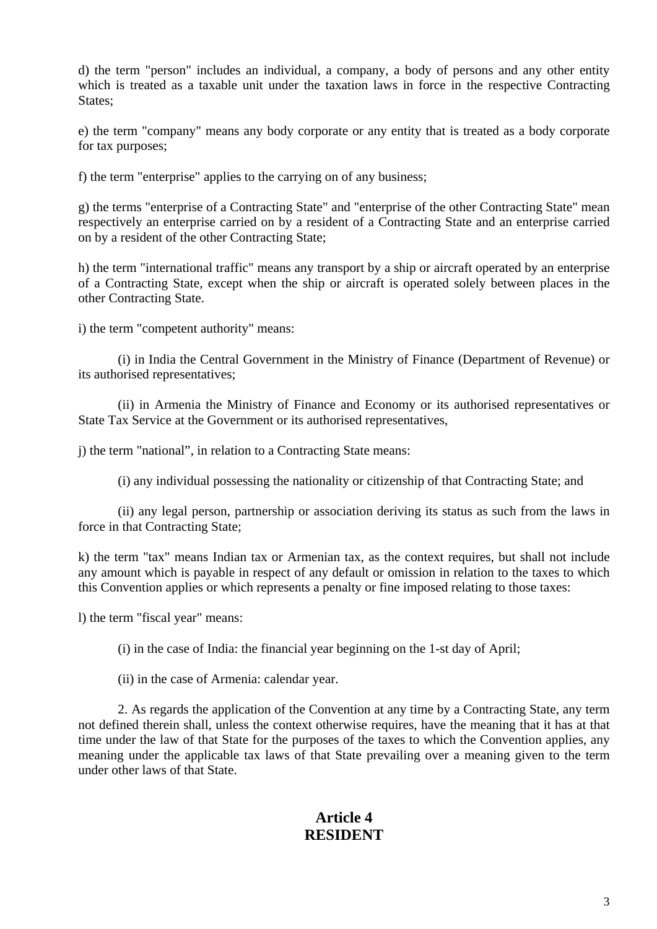d) the term "person" includes an individual, a company, a body of persons and any other entity which is treated as a taxable unit under the taxation laws in force in the respective Contracting States;

e) the term "company" means any body corporate or any entity that is treated as a body corporate for tax purposes;

f) the term "enterprise" applies to the carrying on of any business;

g) the terms "enterprise of a Contracting State" and "enterprise of the other Contracting State" mean respectively an enterprise carried on by a resident of a Contracting State and an enterprise carried on by a resident of the other Contracting State;

h) the term "international traffic" means any transport by a ship or aircraft operated by an enterprise of a Contracting State, except when the ship or aircraft is operated solely between places in the other Contracting State.

i) the term "competent authority" means:

(i) in India the Central Government in the Ministry of Finance (Department of Revenue) or its authorised representatives;

(ii) in Armenia the Ministry of Finance and Economy or its authorised representatives or State Tax Service at the Government or its authorised representatives,

j) the term "national", in relation to a Contracting State means:

(i) any individual possessing the nationality or citizenship of that Contracting State; and

(ii) any legal person, partnership or association deriving its status as such from the laws in force in that Contracting State;

k) the term "tax" means Indian tax or Armenian tax, as the context requires, but shall not include any amount which is payable in respect of any default or omission in relation to the taxes to which this Convention applies or which represents a penalty or fine imposed relating to those taxes:

l) the term "fiscal year" means:

(i) in the case of India: the financial year beginning on the 1-st day of April;

(ii) in the case of Armenia: calendar year.

2. As regards the application of the Convention at any time by a Contracting State, any term not defined therein shall, unless the context otherwise requires, have the meaning that it has at that time under the law of that State for the purposes of the taxes to which the Convention applies, any meaning under the applicable tax laws of that State prevailing over a meaning given to the term under other laws of that State.

## **Article 4 RESIDENT**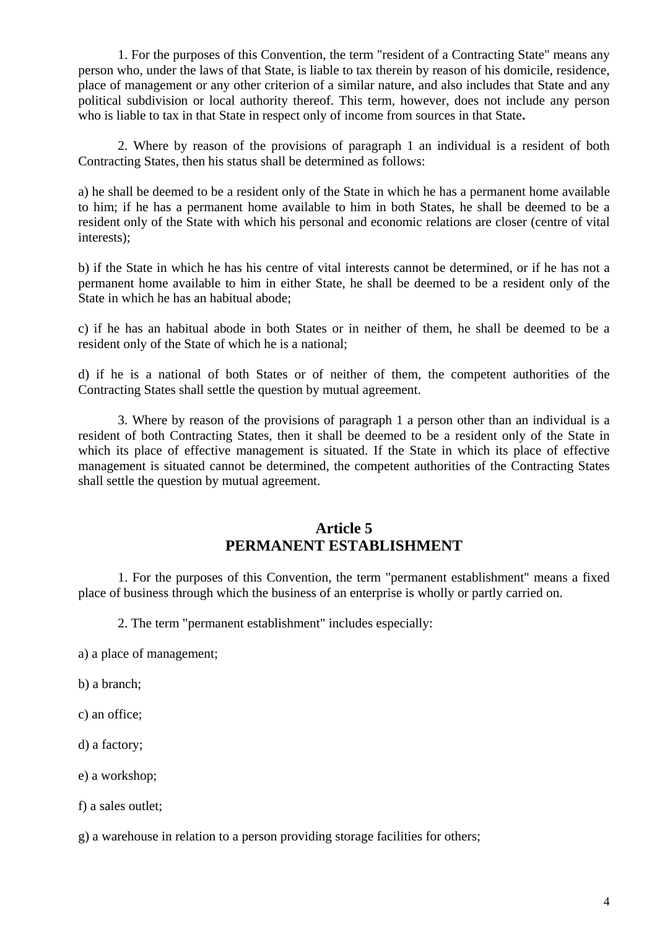1. For the purposes of this Convention, the term "resident of a Contracting State" means any person who, under the laws of that State, is liable to tax therein by reason of his domicile, residence, place of management or any other criterion of a similar nature, and also includes that State and any political subdivision or local authority thereof. This term, however, does not include any person who is liable to tax in that State in respect only of income from sources in that State**.**

2. Where by reason of the provisions of paragraph 1 an individual is a resident of both Contracting States, then his status shall be determined as follows:

a) he shall be deemed to be a resident only of the State in which he has a permanent home available to him; if he has a permanent home available to him in both States, he shall be deemed to be a resident only of the State with which his personal and economic relations are closer (centre of vital interests);

b) if the State in which he has his centre of vital interests cannot be determined, or if he has not a permanent home available to him in either State, he shall be deemed to be a resident only of the State in which he has an habitual abode;

c) if he has an habitual abode in both States or in neither of them, he shall be deemed to be a resident only of the State of which he is a national;

d) if he is a national of both States or of neither of them, the competent authorities of the Contracting States shall settle the question by mutual agreement.

3. Where by reason of the provisions of paragraph 1 a person other than an individual is a resident of both Contracting States, then it shall be deemed to be a resident only of the State in which its place of effective management is situated. If the State in which its place of effective management is situated cannot be determined, the competent authorities of the Contracting States shall settle the question by mutual agreement.

#### **Article 5 PERMANENT ESTABLISHMENT**

1. For the purposes of this Convention, the term "permanent establishment" means a fixed place of business through which the business of an enterprise is wholly or partly carried on.

2. The term "permanent establishment" includes especially:

a) a place of management;

b) a branch;

c) an office;

d) a factory;

e) a workshop;

f) a sales outlet;

g) a warehouse in relation to a person providing storage facilities for others;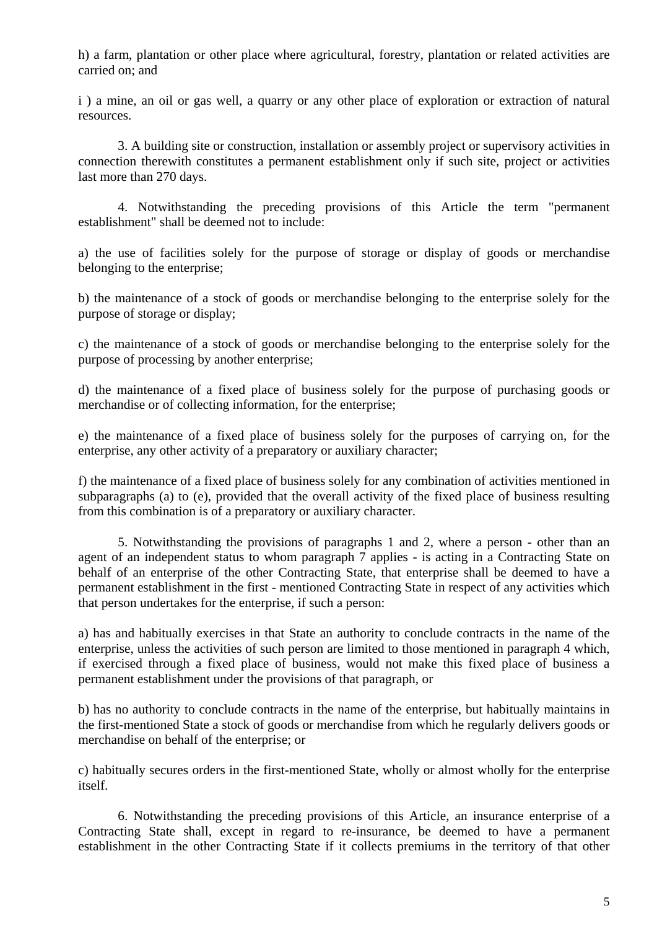h) a farm, plantation or other place where agricultural, forestry, plantation or related activities are carried on; and

i ) a mine, an oil or gas well, a quarry or any other place of exploration or extraction of natural resources.

3. A building site or construction, installation or assembly project or supervisory activities in connection therewith constitutes a permanent establishment only if such site, project or activities last more than 270 days.

4. Notwithstanding the preceding provisions of this Article the term "permanent establishment" shall be deemed not to include:

a) the use of facilities solely for the purpose of storage or display of goods or merchandise belonging to the enterprise;

b) the maintenance of a stock of goods or merchandise belonging to the enterprise solely for the purpose of storage or display;

c) the maintenance of a stock of goods or merchandise belonging to the enterprise solely for the purpose of processing by another enterprise;

d) the maintenance of a fixed place of business solely for the purpose of purchasing goods or merchandise or of collecting information, for the enterprise;

e) the maintenance of a fixed place of business solely for the purposes of carrying on, for the enterprise, any other activity of a preparatory or auxiliary character;

f) the maintenance of a fixed place of business solely for any combination of activities mentioned in subparagraphs (a) to (e), provided that the overall activity of the fixed place of business resulting from this combination is of a preparatory or auxiliary character.

5. Notwithstanding the provisions of paragraphs 1 and 2, where a person - other than an agent of an independent status to whom paragraph 7 applies - is acting in a Contracting State on behalf of an enterprise of the other Contracting State, that enterprise shall be deemed to have a permanent establishment in the first - mentioned Contracting State in respect of any activities which that person undertakes for the enterprise, if such a person:

a) has and habitually exercises in that State an authority to conclude contracts in the name of the enterprise, unless the activities of such person are limited to those mentioned in paragraph 4 which, if exercised through a fixed place of business, would not make this fixed place of business a permanent establishment under the provisions of that paragraph, or

b) has no authority to conclude contracts in the name of the enterprise, but habitually maintains in the first-mentioned State a stock of goods or merchandise from which he regularly delivers goods or merchandise on behalf of the enterprise; or

c) habitually secures orders in the first-mentioned State, wholly or almost wholly for the enterprise itself.

6. Notwithstanding the preceding provisions of this Article, an insurance enterprise of a Contracting State shall, except in regard to re-insurance, be deemed to have a permanent establishment in the other Contracting State if it collects premiums in the territory of that other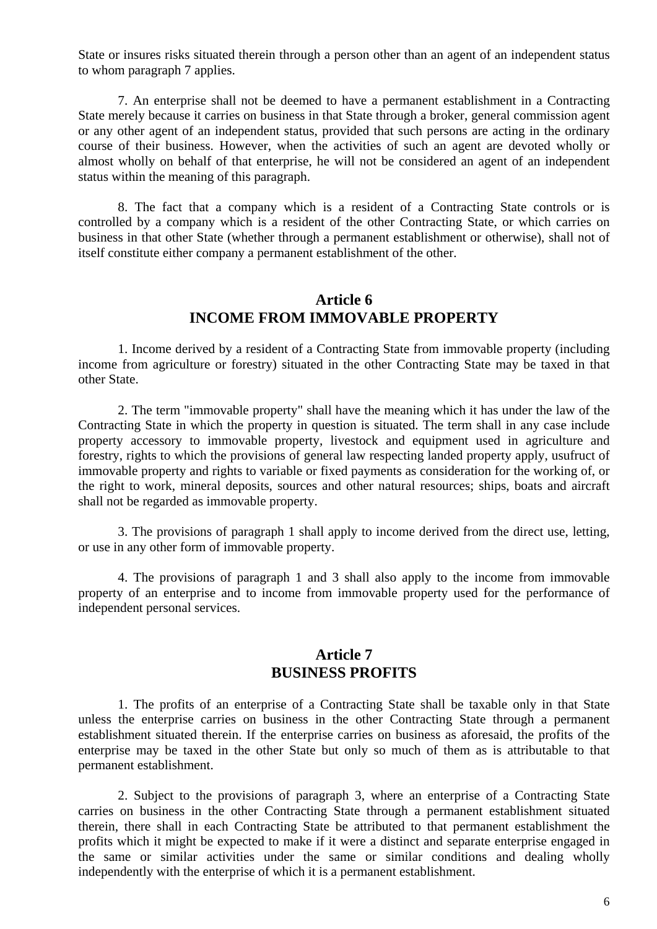State or insures risks situated therein through a person other than an agent of an independent status to whom paragraph 7 applies.

7. An enterprise shall not be deemed to have a permanent establishment in a Contracting State merely because it carries on business in that State through a broker, general commission agent or any other agent of an independent status, provided that such persons are acting in the ordinary course of their business. However, when the activities of such an agent are devoted wholly or almost wholly on behalf of that enterprise, he will not be considered an agent of an independent status within the meaning of this paragraph.

8. The fact that a company which is a resident of a Contracting State controls or is controlled by a company which is a resident of the other Contracting State, or which carries on business in that other State (whether through a permanent establishment or otherwise), shall not of itself constitute either company a permanent establishment of the other.

#### **Article 6 INCOME FROM IMMOVABLE PROPERTY**

1. Income derived by a resident of a Contracting State from immovable property (including income from agriculture or forestry) situated in the other Contracting State may be taxed in that other State.

2. The term "immovable property" shall have the meaning which it has under the law of the Contracting State in which the property in question is situated. The term shall in any case include property accessory to immovable property, livestock and equipment used in agriculture and forestry, rights to which the provisions of general law respecting landed property apply, usufruct of immovable property and rights to variable or fixed payments as consideration for the working of, or the right to work, mineral deposits, sources and other natural resources; ships, boats and aircraft shall not be regarded as immovable property.

3. The provisions of paragraph 1 shall apply to income derived from the direct use, letting, or use in any other form of immovable property.

4. The provisions of paragraph 1 and 3 shall also apply to the income from immovable property of an enterprise and to income from immovable property used for the performance of independent personal services.

#### **Article 7 BUSINESS PROFITS**

1. The profits of an enterprise of a Contracting State shall be taxable only in that State unless the enterprise carries on business in the other Contracting State through a permanent establishment situated therein. If the enterprise carries on business as aforesaid, the profits of the enterprise may be taxed in the other State but only so much of them as is attributable to that permanent establishment.

2. Subject to the provisions of paragraph 3, where an enterprise of a Contracting State carries on business in the other Contracting State through a permanent establishment situated therein, there shall in each Contracting State be attributed to that permanent establishment the profits which it might be expected to make if it were a distinct and separate enterprise engaged in the same or similar activities under the same or similar conditions and dealing wholly independently with the enterprise of which it is a permanent establishment.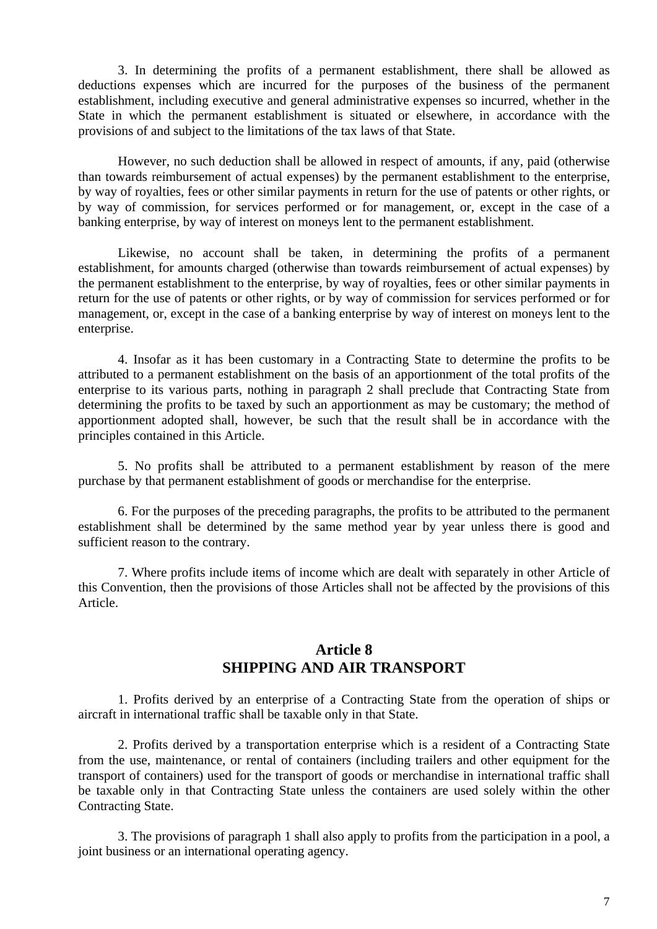3. In determining the profits of a permanent establishment, there shall be allowed as deductions expenses which are incurred for the purposes of the business of the permanent establishment, including executive and general administrative expenses so incurred, whether in the State in which the permanent establishment is situated or elsewhere, in accordance with the provisions of and subject to the limitations of the tax laws of that State.

However, no such deduction shall be allowed in respect of amounts, if any, paid (otherwise than towards reimbursement of actual expenses) by the permanent establishment to the enterprise, by way of royalties, fees or other similar payments in return for the use of patents or other rights, or by way of commission, for services performed or for management, or, except in the case of a banking enterprise, by way of interest on moneys lent to the permanent establishment.

Likewise, no account shall be taken, in determining the profits of a permanent establishment, for amounts charged (otherwise than towards reimbursement of actual expenses) by the permanent establishment to the enterprise, by way of royalties, fees or other similar payments in return for the use of patents or other rights, or by way of commission for services performed or for management, or, except in the case of a banking enterprise by way of interest on moneys lent to the enterprise.

4. Insofar as it has been customary in a Contracting State to determine the profits to be attributed to a permanent establishment on the basis of an apportionment of the total profits of the enterprise to its various parts, nothing in paragraph 2 shall preclude that Contracting State from determining the profits to be taxed by such an apportionment as may be customary; the method of apportionment adopted shall, however, be such that the result shall be in accordance with the principles contained in this Article.

5. No profits shall be attributed to a permanent establishment by reason of the mere purchase by that permanent establishment of goods or merchandise for the enterprise.

6. For the purposes of the preceding paragraphs, the profits to be attributed to the permanent establishment shall be determined by the same method year by year unless there is good and sufficient reason to the contrary.

7. Where profits include items of income which are dealt with separately in other Article of this Convention, then the provisions of those Articles shall not be affected by the provisions of this Article.

#### **Article 8 SHIPPING AND AIR TRANSPORT**

1. Profits derived by an enterprise of a Contracting State from the operation of ships or aircraft in international traffic shall be taxable only in that State.

2. Profits derived by a transportation enterprise which is a resident of a Contracting State from the use, maintenance, or rental of containers (including trailers and other equipment for the transport of containers) used for the transport of goods or merchandise in international traffic shall be taxable only in that Contracting State unless the containers are used solely within the other Contracting State.

3. The provisions of paragraph 1 shall also apply to profits from the participation in a pool, a joint business or an international operating agency.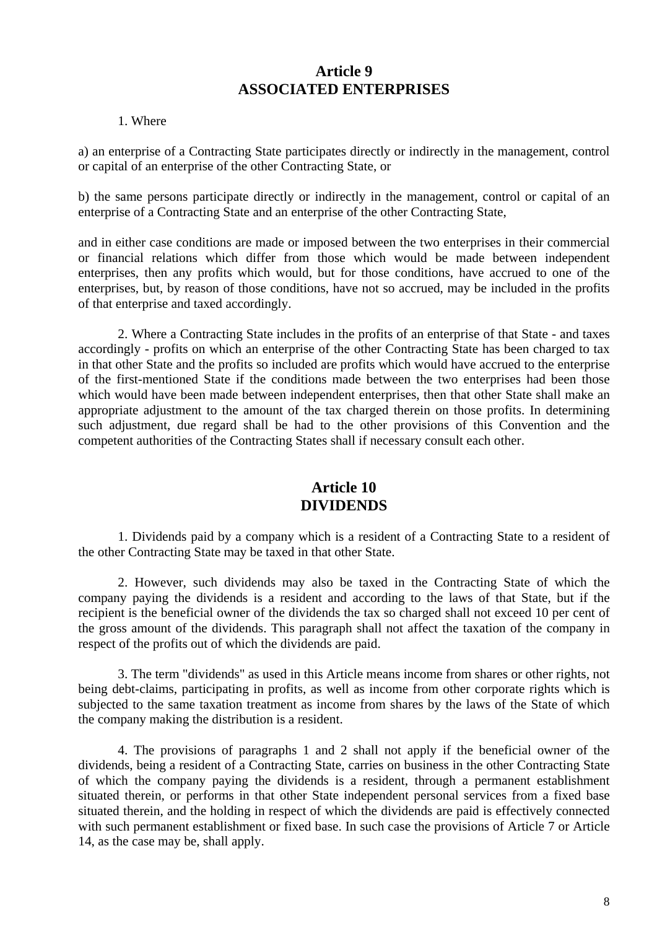# **Article 9 ASSOCIATED ENTERPRISES**

#### 1. Where

a) an enterprise of a Contracting State participates directly or indirectly in the management, control or capital of an enterprise of the other Contracting State, or

b) the same persons participate directly or indirectly in the management, control or capital of an enterprise of a Contracting State and an enterprise of the other Contracting State,

and in either case conditions are made or imposed between the two enterprises in their commercial or financial relations which differ from those which would be made between independent enterprises, then any profits which would, but for those conditions, have accrued to one of the enterprises, but, by reason of those conditions, have not so accrued, may be included in the profits of that enterprise and taxed accordingly.

2. Where a Contracting State includes in the profits of an enterprise of that State - and taxes accordingly - profits on which an enterprise of the other Contracting State has been charged to tax in that other State and the profits so included are profits which would have accrued to the enterprise of the first-mentioned State if the conditions made between the two enterprises had been those which would have been made between independent enterprises, then that other State shall make an appropriate adjustment to the amount of the tax charged therein on those profits. In determining such adjustment, due regard shall be had to the other provisions of this Convention and the competent authorities of the Contracting States shall if necessary consult each other.

#### **Article 10 DIVIDENDS**

1. Dividends paid by a company which is a resident of a Contracting State to a resident of the other Contracting State may be taxed in that other State.

2. However, such dividends may also be taxed in the Contracting State of which the company paying the dividends is a resident and according to the laws of that State, but if the recipient is the beneficial owner of the dividends the tax so charged shall not exceed 10 per cent of the gross amount of the dividends. This paragraph shall not affect the taxation of the company in respect of the profits out of which the dividends are paid.

3. The term "dividends" as used in this Article means income from shares or other rights, not being debt-claims, participating in profits, as well as income from other corporate rights which is subjected to the same taxation treatment as income from shares by the laws of the State of which the company making the distribution is a resident.

4. The provisions of paragraphs 1 and 2 shall not apply if the beneficial owner of the dividends, being a resident of a Contracting State, carries on business in the other Contracting State of which the company paying the dividends is a resident, through a permanent establishment situated therein, or performs in that other State independent personal services from a fixed base situated therein, and the holding in respect of which the dividends are paid is effectively connected with such permanent establishment or fixed base. In such case the provisions of Article 7 or Article 14, as the case may be, shall apply.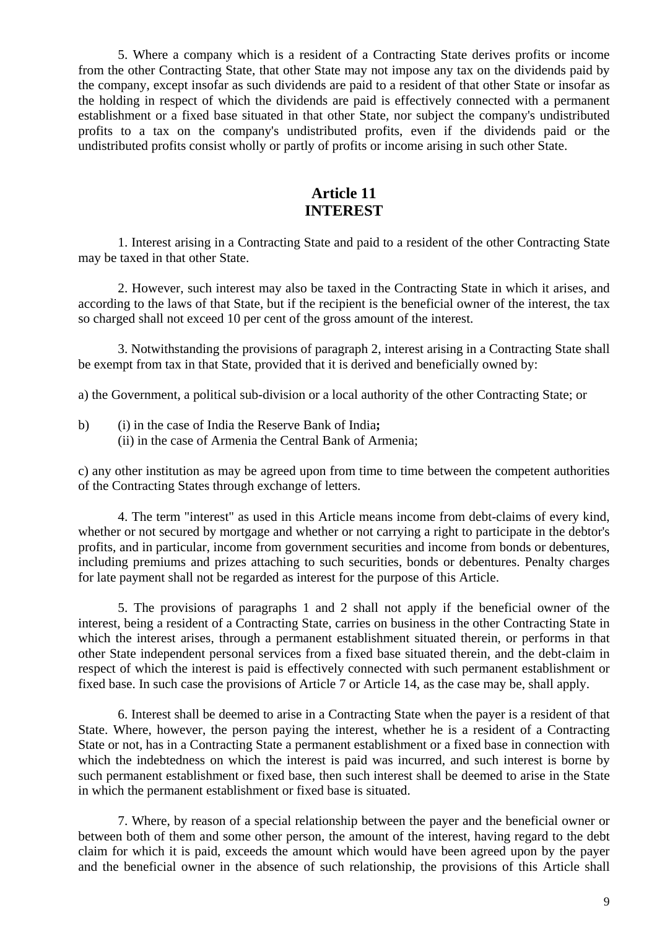5. Where a company which is a resident of a Contracting State derives profits or income from the other Contracting State, that other State may not impose any tax on the dividends paid by the company, except insofar as such dividends are paid to a resident of that other State or insofar as the holding in respect of which the dividends are paid is effectively connected with a permanent establishment or a fixed base situated in that other State, nor subject the company's undistributed profits to a tax on the company's undistributed profits, even if the dividends paid or the undistributed profits consist wholly or partly of profits or income arising in such other State.

#### **Article 11 INTEREST**

1. Interest arising in a Contracting State and paid to a resident of the other Contracting State may be taxed in that other State.

2. However, such interest may also be taxed in the Contracting State in which it arises, and according to the laws of that State, but if the recipient is the beneficial owner of the interest, the tax so charged shall not exceed 10 per cent of the gross amount of the interest.

3. Notwithstanding the provisions of paragraph 2, interest arising in a Contracting State shall be exempt from tax in that State, provided that it is derived and beneficially owned by:

a) the Government, a political sub-division or a local authority of the other Contracting State; or

b) (i) in the case of India the Reserve Bank of India**;**

(ii) in the case of Armenia the Central Bank of Armenia;

c) any other institution as may be agreed upon from time to time between the competent authorities of the Contracting States through exchange of letters.

4. The term "interest" as used in this Article means income from debt-claims of every kind, whether or not secured by mortgage and whether or not carrying a right to participate in the debtor's profits, and in particular, income from government securities and income from bonds or debentures, including premiums and prizes attaching to such securities, bonds or debentures. Penalty charges for late payment shall not be regarded as interest for the purpose of this Article.

5. The provisions of paragraphs 1 and 2 shall not apply if the beneficial owner of the interest, being a resident of a Contracting State, carries on business in the other Contracting State in which the interest arises, through a permanent establishment situated therein, or performs in that other State independent personal services from a fixed base situated therein, and the debt-claim in respect of which the interest is paid is effectively connected with such permanent establishment or fixed base. In such case the provisions of Article 7 or Article 14, as the case may be, shall apply.

6. Interest shall be deemed to arise in a Contracting State when the payer is a resident of that State. Where, however, the person paying the interest, whether he is a resident of a Contracting State or not, has in a Contracting State a permanent establishment or a fixed base in connection with which the indebtedness on which the interest is paid was incurred, and such interest is borne by such permanent establishment or fixed base, then such interest shall be deemed to arise in the State in which the permanent establishment or fixed base is situated.

7. Where, by reason of a special relationship between the payer and the beneficial owner or between both of them and some other person, the amount of the interest, having regard to the debt claim for which it is paid, exceeds the amount which would have been agreed upon by the payer and the beneficial owner in the absence of such relationship, the provisions of this Article shall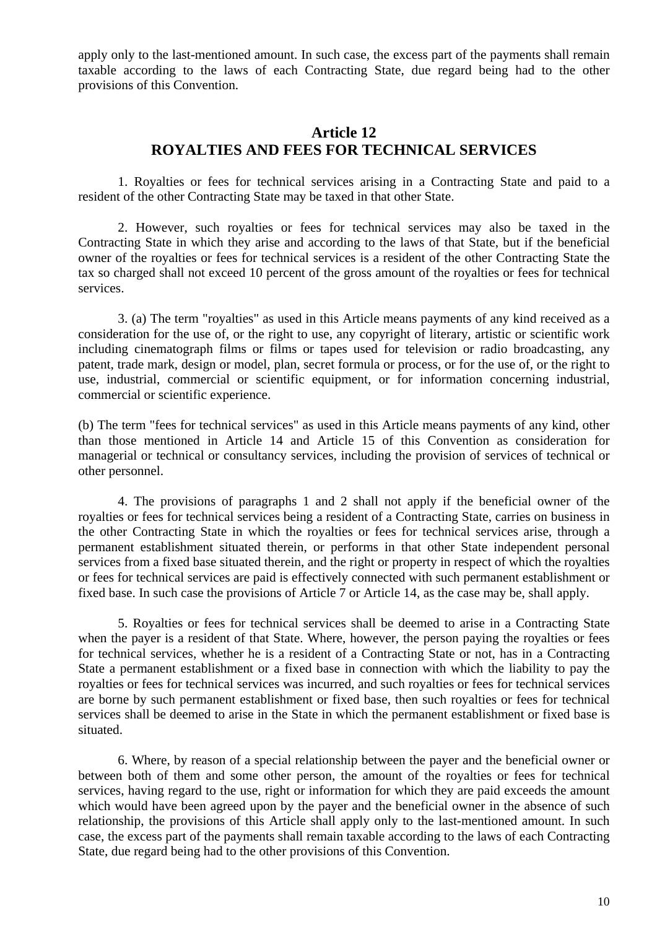apply only to the last-mentioned amount. In such case, the excess part of the payments shall remain taxable according to the laws of each Contracting State, due regard being had to the other provisions of this Convention.

#### **Article 12 ROYALTIES AND FEES FOR TECHNICAL SERVICES**

1. Royalties or fees for technical services arising in a Contracting State and paid to a resident of the other Contracting State may be taxed in that other State.

2. However, such royalties or fees for technical services may also be taxed in the Contracting State in which they arise and according to the laws of that State, but if the beneficial owner of the royalties or fees for technical services is a resident of the other Contracting State the tax so charged shall not exceed 10 percent of the gross amount of the royalties or fees for technical services.

3. (a) The term "royalties" as used in this Article means payments of any kind received as a consideration for the use of, or the right to use, any copyright of literary, artistic or scientific work including cinematograph films or films or tapes used for television or radio broadcasting, any patent, trade mark, design or model, plan, secret formula or process, or for the use of, or the right to use, industrial, commercial or scientific equipment, or for information concerning industrial, commercial or scientific experience.

(b) The term "fees for technical services" as used in this Article means payments of any kind, other than those mentioned in Article 14 and Article 15 of this Convention as consideration for managerial or technical or consultancy services, including the provision of services of technical or other personnel.

4. The provisions of paragraphs 1 and 2 shall not apply if the beneficial owner of the royalties or fees for technical services being a resident of a Contracting State, carries on business in the other Contracting State in which the royalties or fees for technical services arise, through a permanent establishment situated therein, or performs in that other State independent personal services from a fixed base situated therein, and the right or property in respect of which the royalties or fees for technical services are paid is effectively connected with such permanent establishment or fixed base. In such case the provisions of Article 7 or Article 14, as the case may be, shall apply.

5. Royalties or fees for technical services shall be deemed to arise in a Contracting State when the payer is a resident of that State. Where, however, the person paying the royalties or fees for technical services, whether he is a resident of a Contracting State or not, has in a Contracting State a permanent establishment or a fixed base in connection with which the liability to pay the royalties or fees for technical services was incurred, and such royalties or fees for technical services are borne by such permanent establishment or fixed base, then such royalties or fees for technical services shall be deemed to arise in the State in which the permanent establishment or fixed base is situated.

6. Where, by reason of a special relationship between the payer and the beneficial owner or between both of them and some other person, the amount of the royalties or fees for technical services, having regard to the use, right or information for which they are paid exceeds the amount which would have been agreed upon by the payer and the beneficial owner in the absence of such relationship, the provisions of this Article shall apply only to the last-mentioned amount. In such case, the excess part of the payments shall remain taxable according to the laws of each Contracting State, due regard being had to the other provisions of this Convention.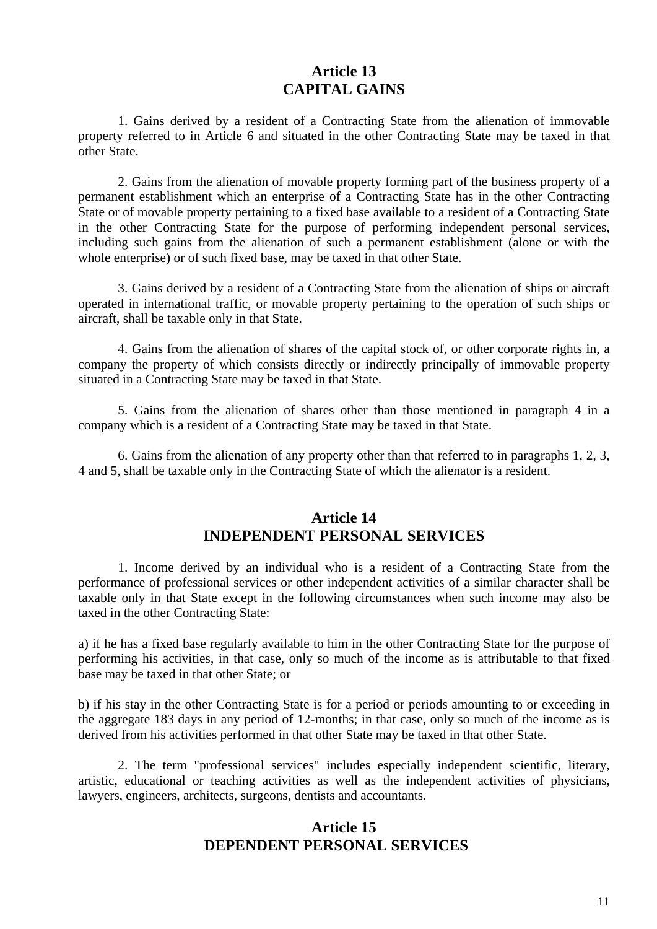# **Article 13 CAPITAL GAINS**

1. Gains derived by a resident of a Contracting State from the alienation of immovable property referred to in Article 6 and situated in the other Contracting State may be taxed in that other State.

2. Gains from the alienation of movable property forming part of the business property of a permanent establishment which an enterprise of a Contracting State has in the other Contracting State or of movable property pertaining to a fixed base available to a resident of a Contracting State in the other Contracting State for the purpose of performing independent personal services, including such gains from the alienation of such a permanent establishment (alone or with the whole enterprise) or of such fixed base, may be taxed in that other State.

3. Gains derived by a resident of a Contracting State from the alienation of ships or aircraft operated in international traffic, or movable property pertaining to the operation of such ships or aircraft, shall be taxable only in that State.

4. Gains from the alienation of shares of the capital stock of, or other corporate rights in, a company the property of which consists directly or indirectly principally of immovable property situated in a Contracting State may be taxed in that State.

5. Gains from the alienation of shares other than those mentioned in paragraph 4 in a company which is a resident of a Contracting State may be taxed in that State.

6. Gains from the alienation of any property other than that referred to in paragraphs 1, 2, 3, 4 and 5, shall be taxable only in the Contracting State of which the alienator is a resident.

#### **Article 14 INDEPENDENT PERSONAL SERVICES**

1. Income derived by an individual who is a resident of a Contracting State from the performance of professional services or other independent activities of a similar character shall be taxable only in that State except in the following circumstances when such income may also be taxed in the other Contracting State:

a) if he has a fixed base regularly available to him in the other Contracting State for the purpose of performing his activities, in that case, only so much of the income as is attributable to that fixed base may be taxed in that other State; or

b) if his stay in the other Contracting State is for a period or periods amounting to or exceeding in the aggregate 183 days in any period of 12-months; in that case, only so much of the income as is derived from his activities performed in that other State may be taxed in that other State.

2. The term "professional services" includes especially independent scientific, literary, artistic, educational or teaching activities as well as the independent activities of physicians, lawyers, engineers, architects, surgeons, dentists and accountants.

#### **Article 15 DEPENDENT PERSONAL SERVICES**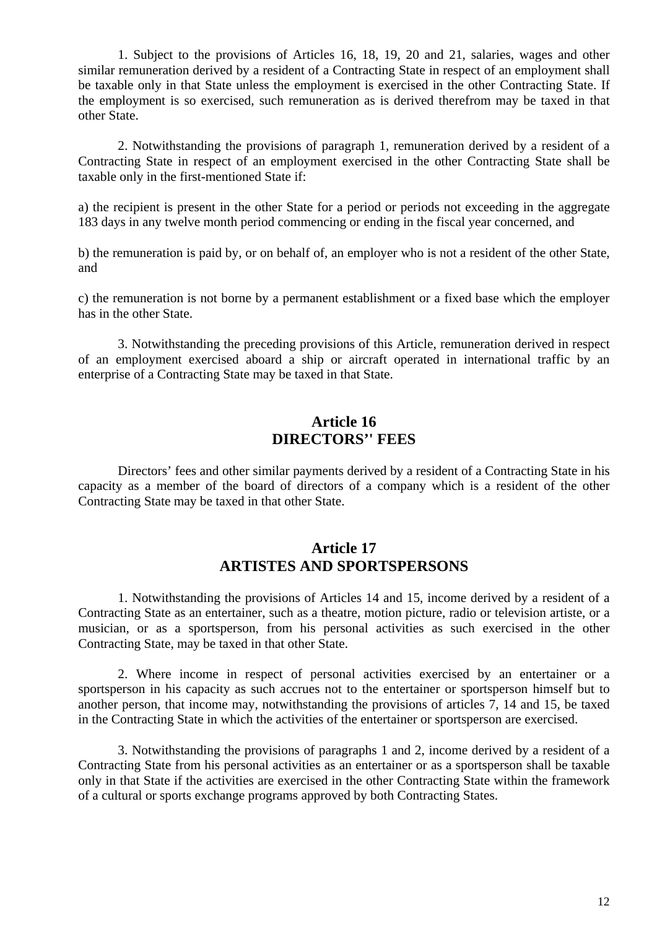1. Subject to the provisions of Articles 16, 18, 19, 20 and 21, salaries, wages and other similar remuneration derived by a resident of a Contracting State in respect of an employment shall be taxable only in that State unless the employment is exercised in the other Contracting State. If the employment is so exercised, such remuneration as is derived therefrom may be taxed in that other State.

2. Notwithstanding the provisions of paragraph 1, remuneration derived by a resident of a Contracting State in respect of an employment exercised in the other Contracting State shall be taxable only in the first-mentioned State if:

a) the recipient is present in the other State for a period or periods not exceeding in the aggregate 183 days in any twelve month period commencing or ending in the fiscal year concerned, and

b) the remuneration is paid by, or on behalf of, an employer who is not a resident of the other State, and

c) the remuneration is not borne by a permanent establishment or a fixed base which the employer has in the other State.

3. Notwithstanding the preceding provisions of this Article, remuneration derived in respect of an employment exercised aboard a ship or aircraft operated in international traffic by an enterprise of a Contracting State may be taxed in that State.

#### **Article 16 DIRECTORS'' FEES**

Directors' fees and other similar payments derived by a resident of a Contracting State in his capacity as a member of the board of directors of a company which is a resident of the other Contracting State may be taxed in that other State.

#### **Article 17 ARTISTES AND SPORTSPERSONS**

1. Notwithstanding the provisions of Articles 14 and 15, income derived by a resident of a Contracting State as an entertainer, such as a theatre, motion picture, radio or television artiste, or a musician, or as a sportsperson, from his personal activities as such exercised in the other Contracting State, may be taxed in that other State.

2. Where income in respect of personal activities exercised by an entertainer or a sportsperson in his capacity as such accrues not to the entertainer or sportsperson himself but to another person, that income may, notwithstanding the provisions of articles 7, 14 and 15, be taxed in the Contracting State in which the activities of the entertainer or sportsperson are exercised.

3. Notwithstanding the provisions of paragraphs 1 and 2, income derived by a resident of a Contracting State from his personal activities as an entertainer or as a sportsperson shall be taxable only in that State if the activities are exercised in the other Contracting State within the framework of a cultural or sports exchange programs approved by both Contracting States.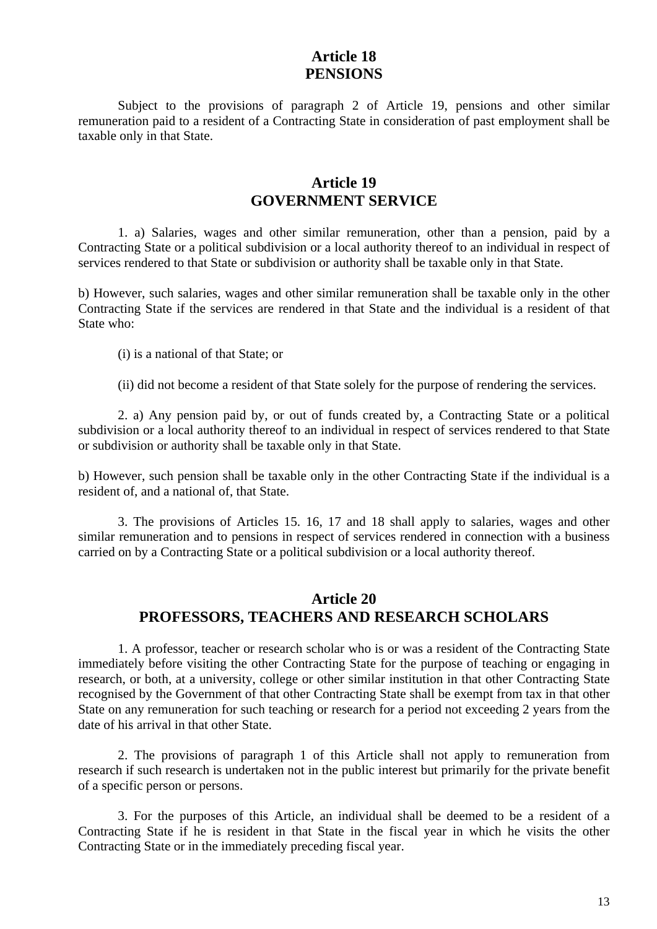#### **Article 18 PENSIONS**

Subject to the provisions of paragraph 2 of Article 19, pensions and other similar remuneration paid to a resident of a Contracting State in consideration of past employment shall be taxable only in that State.

#### **Article 19 GOVERNMENT SERVICE**

1. a) Salaries, wages and other similar remuneration, other than a pension, paid by a Contracting State or a political subdivision or a local authority thereof to an individual in respect of services rendered to that State or subdivision or authority shall be taxable only in that State.

b) However, such salaries, wages and other similar remuneration shall be taxable only in the other Contracting State if the services are rendered in that State and the individual is a resident of that State who:

(i) is a national of that State; or

(ii) did not become a resident of that State solely for the purpose of rendering the services.

2. a) Any pension paid by, or out of funds created by, a Contracting State or a political subdivision or a local authority thereof to an individual in respect of services rendered to that State or subdivision or authority shall be taxable only in that State.

b) However, such pension shall be taxable only in the other Contracting State if the individual is a resident of, and a national of, that State.

3. The provisions of Articles 15. 16, 17 and 18 shall apply to salaries, wages and other similar remuneration and to pensions in respect of services rendered in connection with a business carried on by a Contracting State or a political subdivision or a local authority thereof.

#### **Article 20 PROFESSORS, TEACHERS AND RESEARCH SCHOLARS**

1. A professor, teacher or research scholar who is or was a resident of the Contracting State immediately before visiting the other Contracting State for the purpose of teaching or engaging in research, or both, at a university, college or other similar institution in that other Contracting State recognised by the Government of that other Contracting State shall be exempt from tax in that other State on any remuneration for such teaching or research for a period not exceeding 2 years from the date of his arrival in that other State.

2. The provisions of paragraph 1 of this Article shall not apply to remuneration from research if such research is undertaken not in the public interest but primarily for the private benefit of a specific person or persons.

3. For the purposes of this Article, an individual shall be deemed to be a resident of a Contracting State if he is resident in that State in the fiscal year in which he visits the other Contracting State or in the immediately preceding fiscal year.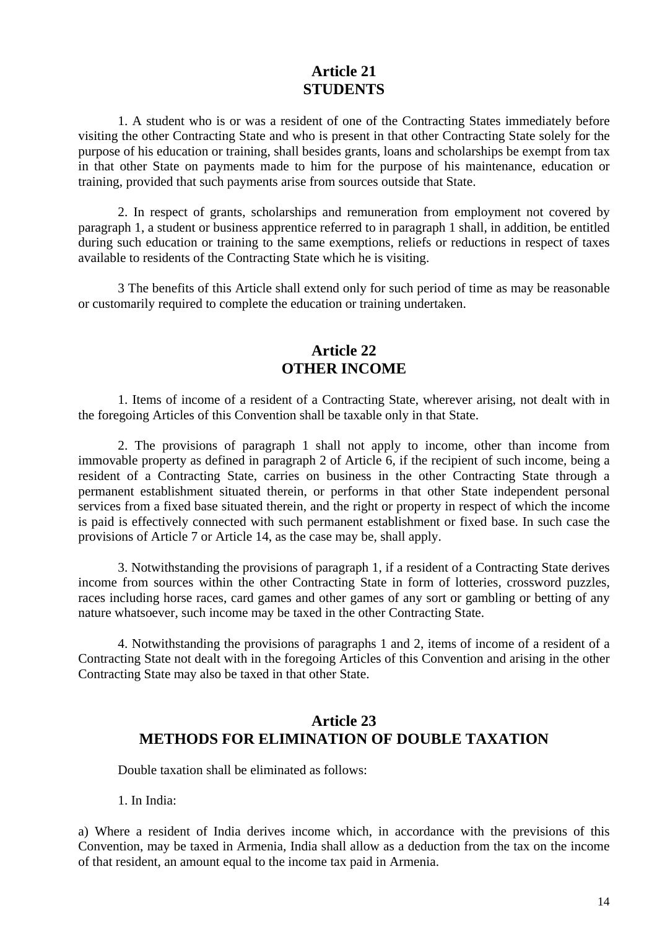#### **Article 21 STUDENTS**

1. A student who is or was a resident of one of the Contracting States immediately before visiting the other Contracting State and who is present in that other Contracting State solely for the purpose of his education or training, shall besides grants, loans and scholarships be exempt from tax in that other State on payments made to him for the purpose of his maintenance, education or training, provided that such payments arise from sources outside that State.

2. In respect of grants, scholarships and remuneration from employment not covered by paragraph 1, a student or business apprentice referred to in paragraph 1 shall, in addition, be entitled during such education or training to the same exemptions, reliefs or reductions in respect of taxes available to residents of the Contracting State which he is visiting.

3 The benefits of this Article shall extend only for such period of time as may be reasonable or customarily required to complete the education or training undertaken.

#### **Article 22 OTHER INCOME**

1. Items of income of a resident of a Contracting State, wherever arising, not dealt with in the foregoing Articles of this Convention shall be taxable only in that State.

2. The provisions of paragraph 1 shall not apply to income, other than income from immovable property as defined in paragraph 2 of Article 6, if the recipient of such income, being a resident of a Contracting State, carries on business in the other Contracting State through a permanent establishment situated therein, or performs in that other State independent personal services from a fixed base situated therein, and the right or property in respect of which the income is paid is effectively connected with such permanent establishment or fixed base. In such case the provisions of Article 7 or Article 14, as the case may be, shall apply.

3. Notwithstanding the provisions of paragraph 1, if a resident of a Contracting State derives income from sources within the other Contracting State in form of lotteries, crossword puzzles, races including horse races, card games and other games of any sort or gambling or betting of any nature whatsoever, such income may be taxed in the other Contracting State.

4. Notwithstanding the provisions of paragraphs 1 and 2, items of income of a resident of a Contracting State not dealt with in the foregoing Articles of this Convention and arising in the other Contracting State may also be taxed in that other State.

#### **Article 23 METHODS FOR ELIMINATION OF DOUBLE TAXATION**

Double taxation shall be eliminated as follows:

1. In India:

a) Where a resident of India derives income which, in accordance with the previsions of this Convention, may be taxed in Armenia, India shall allow as a deduction from the tax on the income of that resident, an amount equal to the income tax paid in Armenia.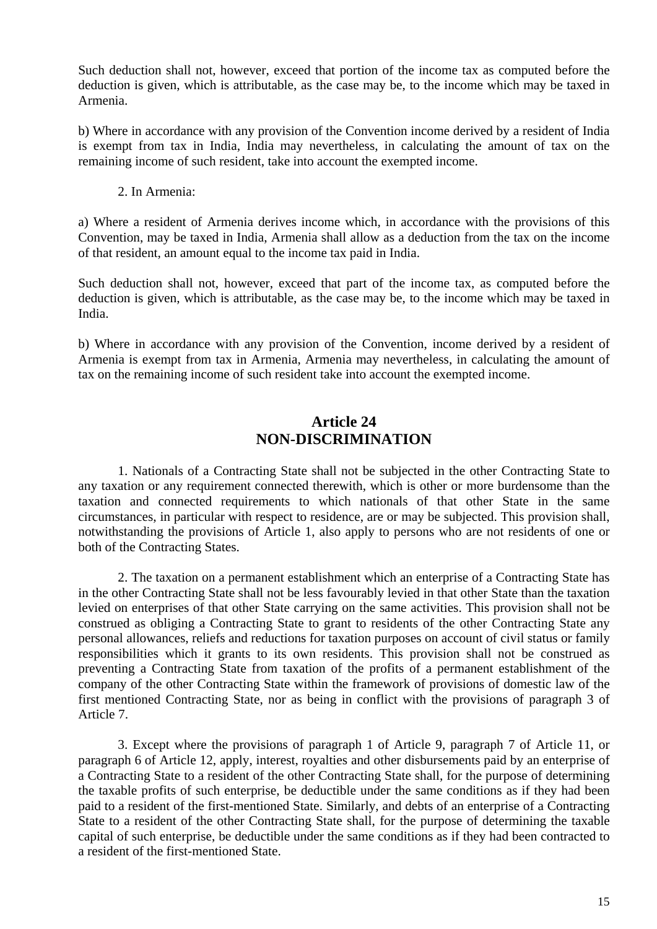Such deduction shall not, however, exceed that portion of the income tax as computed before the deduction is given, which is attributable, as the case may be, to the income which may be taxed in Armenia.

b) Where in accordance with any provision of the Convention income derived by a resident of India is exempt from tax in India, India may nevertheless, in calculating the amount of tax on the remaining income of such resident, take into account the exempted income.

2. In Armenia:

a) Where a resident of Armenia derives income which, in accordance with the provisions of this Convention, may be taxed in India, Armenia shall allow as a deduction from the tax on the income of that resident, an amount equal to the income tax paid in India.

Such deduction shall not, however, exceed that part of the income tax, as computed before the deduction is given, which is attributable, as the case may be, to the income which may be taxed in India.

b) Where in accordance with any provision of the Convention, income derived by a resident of Armenia is exempt from tax in Armenia, Armenia may nevertheless, in calculating the amount of tax on the remaining income of such resident take into account the exempted income.

#### **Article 24 NON-DISCRIMINATION**

1. Nationals of a Contracting State shall not be subjected in the other Contracting State to any taxation or any requirement connected therewith, which is other or more burdensome than the taxation and connected requirements to which nationals of that other State in the same circumstances, in particular with respect to residence, are or may be subjected. This provision shall, notwithstanding the provisions of Article 1, also apply to persons who are not residents of one or both of the Contracting States.

2. The taxation on a permanent establishment which an enterprise of a Contracting State has in the other Contracting State shall not be less favourably levied in that other State than the taxation levied on enterprises of that other State carrying on the same activities. This provision shall not be construed as obliging a Contracting State to grant to residents of the other Contracting State any personal allowances, reliefs and reductions for taxation purposes on account of civil status or family responsibilities which it grants to its own residents. This provision shall not be construed as preventing a Contracting State from taxation of the profits of a permanent establishment of the company of the other Contracting State within the framework of provisions of domestic law of the first mentioned Contracting State, nor as being in conflict with the provisions of paragraph 3 of Article 7.

3. Except where the provisions of paragraph 1 of Article 9, paragraph 7 of Article 11, or paragraph 6 of Article 12, apply, interest, royalties and other disbursements paid by an enterprise of a Contracting State to a resident of the other Contracting State shall, for the purpose of determining the taxable profits of such enterprise, be deductible under the same conditions as if they had been paid to a resident of the first-mentioned State. Similarly, and debts of an enterprise of a Contracting State to a resident of the other Contracting State shall, for the purpose of determining the taxable capital of such enterprise, be deductible under the same conditions as if they had been contracted to a resident of the first-mentioned State.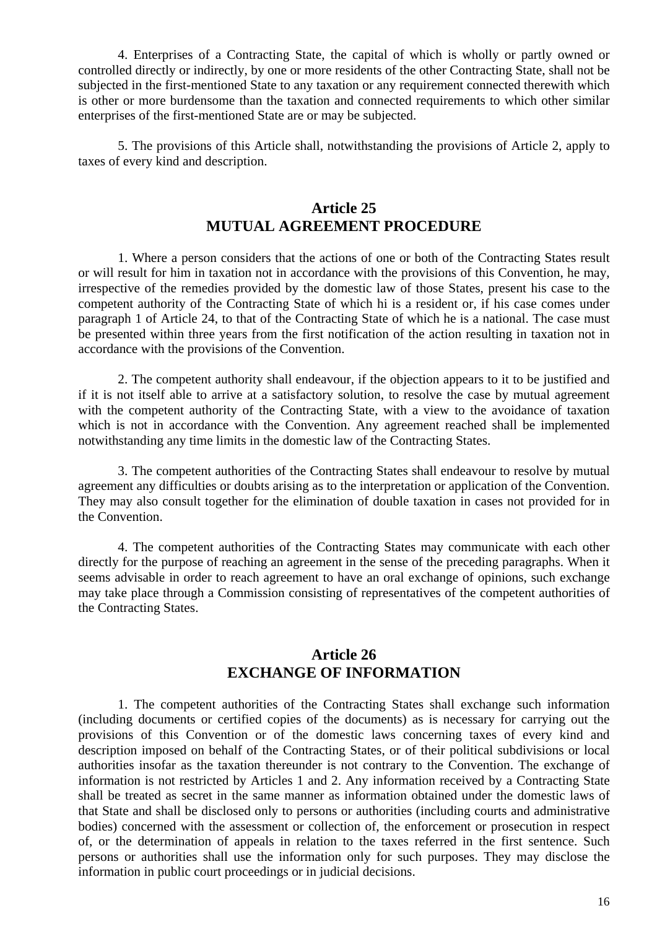4. Enterprises of a Contracting State, the capital of which is wholly or partly owned or controlled directly or indirectly, by one or more residents of the other Contracting State, shall not be subjected in the first-mentioned State to any taxation or any requirement connected therewith which is other or more burdensome than the taxation and connected requirements to which other similar enterprises of the first-mentioned State are or may be subjected.

5. The provisions of this Article shall, notwithstanding the provisions of Article 2, apply to taxes of every kind and description.

#### **Article 25 MUTUAL AGREEMENT PROCEDURE**

1. Where a person considers that the actions of one or both of the Contracting States result or will result for him in taxation not in accordance with the provisions of this Convention, he may, irrespective of the remedies provided by the domestic law of those States, present his case to the competent authority of the Contracting State of which hi is a resident or, if his case comes under paragraph 1 of Article 24, to that of the Contracting State of which he is a national. The case must be presented within three years from the first notification of the action resulting in taxation not in accordance with the provisions of the Convention.

2. The competent authority shall endeavour, if the objection appears to it to be justified and if it is not itself able to arrive at a satisfactory solution, to resolve the case by mutual agreement with the competent authority of the Contracting State, with a view to the avoidance of taxation which is not in accordance with the Convention. Any agreement reached shall be implemented notwithstanding any time limits in the domestic law of the Contracting States.

3. The competent authorities of the Contracting States shall endeavour to resolve by mutual agreement any difficulties or doubts arising as to the interpretation or application of the Convention. They may also consult together for the elimination of double taxation in cases not provided for in the Convention.

4. The competent authorities of the Contracting States may communicate with each other directly for the purpose of reaching an agreement in the sense of the preceding paragraphs. When it seems advisable in order to reach agreement to have an oral exchange of opinions, such exchange may take place through a Commission consisting of representatives of the competent authorities of the Contracting States.

#### **Article 26 EXCHANGE OF INFORMATION**

1. The competent authorities of the Contracting States shall exchange such information (including documents or certified copies of the documents) as is necessary for carrying out the provisions of this Convention or of the domestic laws concerning taxes of every kind and description imposed on behalf of the Contracting States, or of their political subdivisions or local authorities insofar as the taxation thereunder is not contrary to the Convention. The exchange of information is not restricted by Articles 1 and 2. Any information received by a Contracting State shall be treated as secret in the same manner as information obtained under the domestic laws of that State and shall be disclosed only to persons or authorities (including courts and administrative bodies) concerned with the assessment or collection of, the enforcement or prosecution in respect of, or the determination of appeals in relation to the taxes referred in the first sentence. Such persons or authorities shall use the information only for such purposes. They may disclose the information in public court proceedings or in judicial decisions.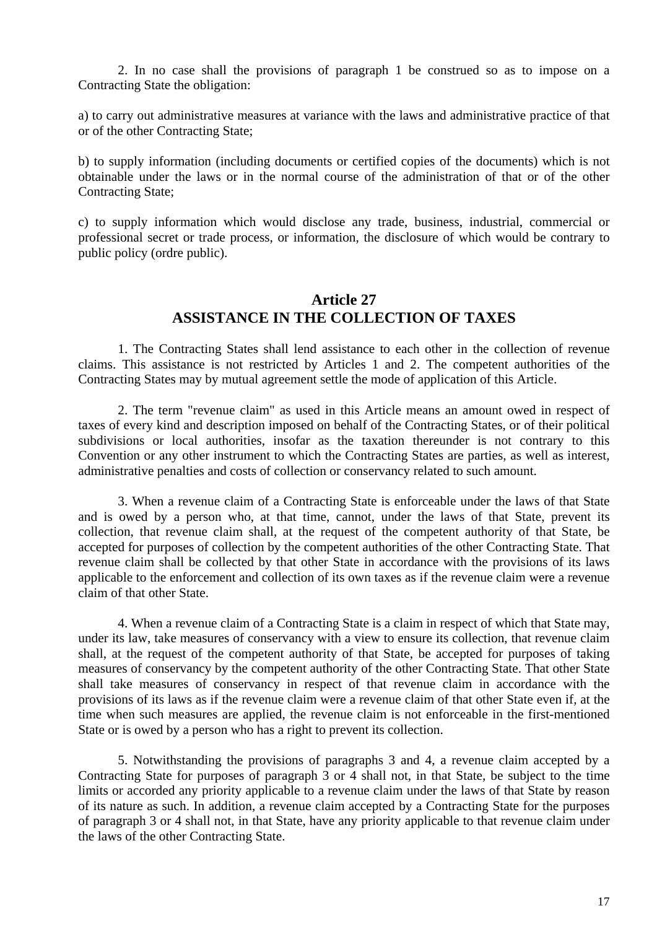2. In no case shall the provisions of paragraph 1 be construed so as to impose on a Contracting State the obligation:

a) to carry out administrative measures at variance with the laws and administrative practice of that or of the other Contracting State;

b) to supply information (including documents or certified copies of the documents) which is not obtainable under the laws or in the normal course of the administration of that or of the other Contracting State;

c) to supply information which would disclose any trade, business, industrial, commercial or professional secret or trade process, or information, the disclosure of which would be contrary to public policy (ordre public).

#### **Article 27 ASSISTANCE IN THE COLLECTION OF TAXES**

1. The Contracting States shall lend assistance to each other in the collection of revenue claims. This assistance is not restricted by Articles 1 and 2. The competent authorities of the Contracting States may by mutual agreement settle the mode of application of this Article.

2. The term "revenue claim" as used in this Article means an amount owed in respect of taxes of every kind and description imposed on behalf of the Contracting States, or of their political subdivisions or local authorities, insofar as the taxation thereunder is not contrary to this Convention or any other instrument to which the Contracting States are parties, as well as interest, administrative penalties and costs of collection or conservancy related to such amount.

3. When a revenue claim of a Contracting State is enforceable under the laws of that State and is owed by a person who, at that time, cannot, under the laws of that State, prevent its collection, that revenue claim shall, at the request of the competent authority of that State, be accepted for purposes of collection by the competent authorities of the other Contracting State. That revenue claim shall be collected by that other State in accordance with the provisions of its laws applicable to the enforcement and collection of its own taxes as if the revenue claim were a revenue claim of that other State.

4. When a revenue claim of a Contracting State is a claim in respect of which that State may, under its law, take measures of conservancy with a view to ensure its collection, that revenue claim shall, at the request of the competent authority of that State, be accepted for purposes of taking measures of conservancy by the competent authority of the other Contracting State. That other State shall take measures of conservancy in respect of that revenue claim in accordance with the provisions of its laws as if the revenue claim were a revenue claim of that other State even if, at the time when such measures are applied, the revenue claim is not enforceable in the first-mentioned State or is owed by a person who has a right to prevent its collection.

5. Notwithstanding the provisions of paragraphs 3 and 4, a revenue claim accepted by a Contracting State for purposes of paragraph 3 or 4 shall not, in that State, be subject to the time limits or accorded any priority applicable to a revenue claim under the laws of that State by reason of its nature as such. In addition, a revenue claim accepted by a Contracting State for the purposes of paragraph 3 or 4 shall not, in that State, have any priority applicable to that revenue claim under the laws of the other Contracting State.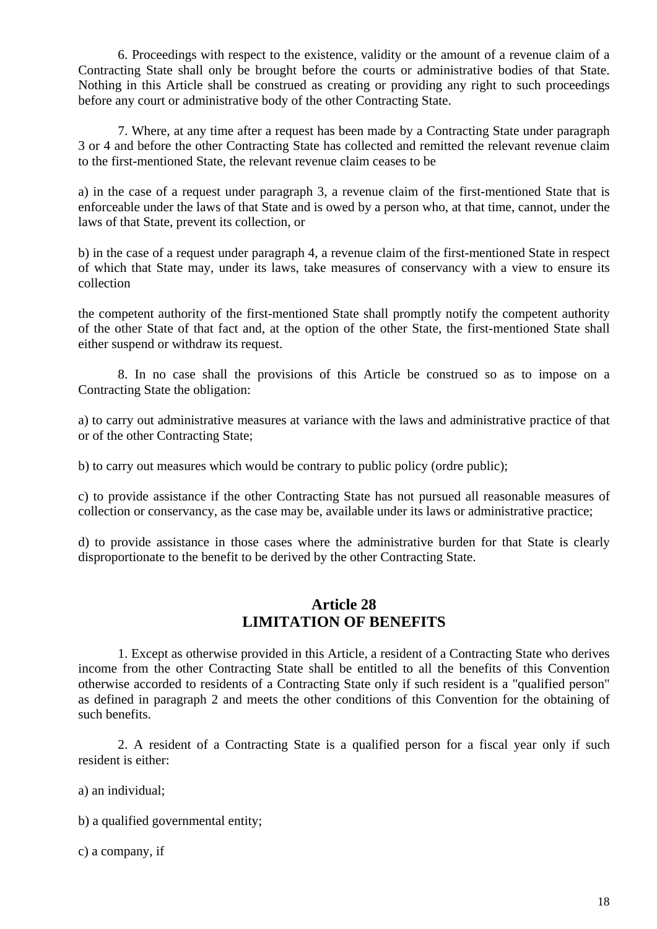6. Proceedings with respect to the existence, validity or the amount of a revenue claim of a Contracting State shall only be brought before the courts or administrative bodies of that State. Nothing in this Article shall be construed as creating or providing any right to such proceedings before any court or administrative body of the other Contracting State.

7. Where, at any time after a request has been made by a Contracting State under paragraph 3 or 4 and before the other Contracting State has collected and remitted the relevant revenue claim to the first-mentioned State, the relevant revenue claim ceases to be

a) in the case of a request under paragraph 3, a revenue claim of the first-mentioned State that is enforceable under the laws of that State and is owed by a person who, at that time, cannot, under the laws of that State, prevent its collection, or

b) in the case of a request under paragraph 4, a revenue claim of the first-mentioned State in respect of which that State may, under its laws, take measures of conservancy with a view to ensure its collection

the competent authority of the first-mentioned State shall promptly notify the competent authority of the other State of that fact and, at the option of the other State, the first-mentioned State shall either suspend or withdraw its request.

8. In no case shall the provisions of this Article be construed so as to impose on a Contracting State the obligation:

a) to carry out administrative measures at variance with the laws and administrative practice of that or of the other Contracting State;

b) to carry out measures which would be contrary to public policy (ordre public);

c) to provide assistance if the other Contracting State has not pursued all reasonable measures of collection or conservancy, as the case may be, available under its laws or administrative practice;

d) to provide assistance in those cases where the administrative burden for that State is clearly disproportionate to the benefit to be derived by the other Contracting State.

#### **Article 28 LIMITATION OF BENEFITS**

1. Except as otherwise provided in this Article, a resident of a Contracting State who derives income from the other Contracting State shall be entitled to all the benefits of this Convention otherwise accorded to residents of a Contracting State only if such resident is a "qualified person" as defined in paragraph 2 and meets the other conditions of this Convention for the obtaining of such benefits.

2. A resident of a Contracting State is a qualified person for a fiscal year only if such resident is either:

a) an individual;

b) a qualified governmental entity;

c) a company, if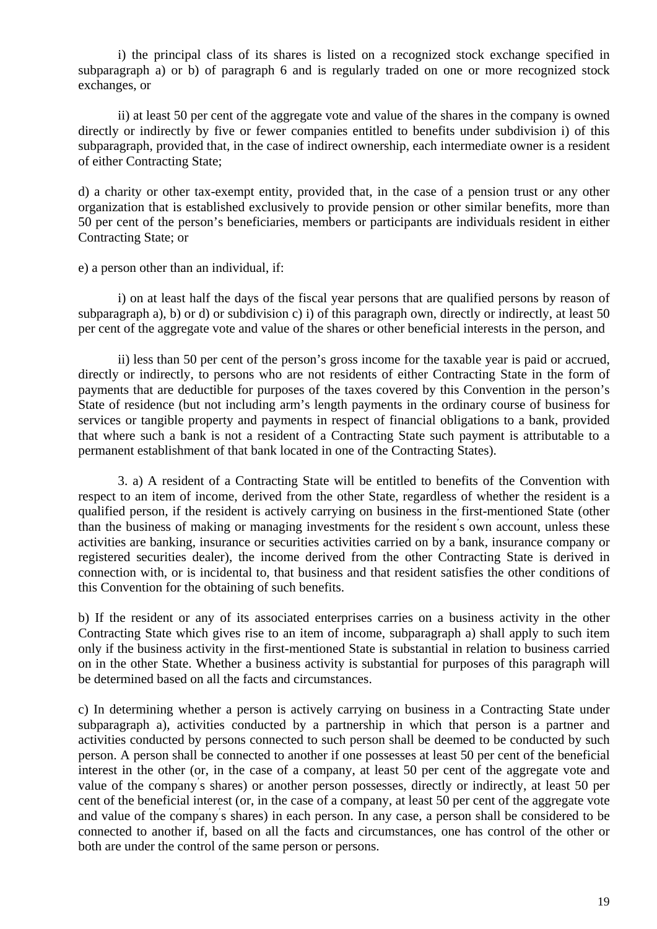i) the principal class of its shares is listed on a recognized stock exchange specified in subparagraph a) or b) of paragraph 6 and is regularly traded on one or more recognized stock exchanges, or

ii) at least 50 per cent of the aggregate vote and value of the shares in the company is owned directly or indirectly by five or fewer companies entitled to benefits under subdivision i) of this subparagraph, provided that, in the case of indirect ownership, each intermediate owner is a resident of either Contracting State;

d) a charity or other tax-exempt entity, provided that, in the case of a pension trust or any other organization that is established exclusively to provide pension or other similar benefits, more than 50 per cent of the person's beneficiaries, members or participants are individuals resident in either Contracting State; or

e) a person other than an individual, if:

i) on at least half the days of the fiscal year persons that are qualified persons by reason of subparagraph a), b) or d) or subdivision c) i) of this paragraph own, directly or indirectly, at least 50 per cent of the aggregate vote and value of the shares or other beneficial interests in the person, and

ii) less than 50 per cent of the person's gross income for the taxable year is paid or accrued, directly or indirectly, to persons who are not residents of either Contracting State in the form of payments that are deductible for purposes of the taxes covered by this Convention in the person's State of residence (but not including arm's length payments in the ordinary course of business for services or tangible property and payments in respect of financial obligations to a bank, provided that where such a bank is not a resident of a Contracting State such payment is attributable to a permanent establishment of that bank located in one of the Contracting States).

3. a) A resident of a Contracting State will be entitled to benefits of the Convention with respect to an item of income, derived from the other State, regardless of whether the resident is a qualified person, if the resident is actively carrying on business in the first-mentioned State (other than the business of making or managing investments for the resident' s own account, unless these activities are banking, insurance or securities activities carried on by a bank, insurance company or registered securities dealer), the income derived from the other Contracting State is derived in connection with, or is incidental to, that business and that resident satisfies the other conditions of this Convention for the obtaining of such benefits.

b) If the resident or any of its associated enterprises carries on a business activity in the other Contracting State which gives rise to an item of income, subparagraph a) shall apply to such item only if the business activity in the first-mentioned State is substantial in relation to business carried on in the other State. Whether a business activity is substantial for purposes of this paragraph will be determined based on all the facts and circumstances.

c) In determining whether a person is actively carrying on business in a Contracting State under subparagraph a), activities conducted by a partnership in which that person is a partner and activities conducted by persons connected to such person shall be deemed to be conducted by such person. A person shall be connected to another if one possesses at least 50 per cent of the beneficial interest in the other (or, in the case of a company, at least 50 per cent of the aggregate vote and value of the company's shares) or another person possesses, directly or indirectly, at least 50 per cent of the beneficial interest (or, in the case of a company, at least 50 per cent of the aggregate vote and value of the company' s shares) in each person. In any case, a person shall be considered to be connected to another if, based on all the facts and circumstances, one has control of the other or both are under the control of the same person or persons.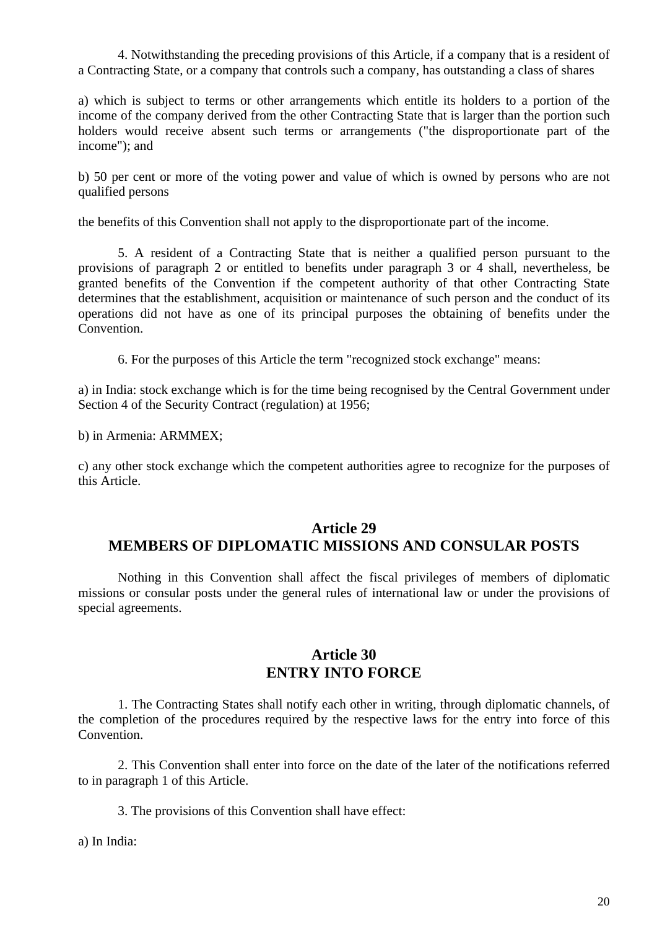4. Notwithstanding the preceding provisions of this Article, if a company that is a resident of a Contracting State, or a company that controls such a company, has outstanding a class of shares

a) which is subject to terms or other arrangements which entitle its holders to a portion of the income of the company derived from the other Contracting State that is larger than the portion such holders would receive absent such terms or arrangements ("the disproportionate part of the income"); and

b) 50 per cent or more of the voting power and value of which is owned by persons who are not qualified persons

the benefits of this Convention shall not apply to the disproportionate part of the income.

5. A resident of a Contracting State that is neither a qualified person pursuant to the provisions of paragraph 2 or entitled to benefits under paragraph 3 or 4 shall, nevertheless, be granted benefits of the Convention if the competent authority of that other Contracting State determines that the establishment, acquisition or maintenance of such person and the conduct of its operations did not have as one of its principal purposes the obtaining of benefits under the Convention.

6. For the purposes of this Article the term "recognized stock exchange" means:

a) in India: stock exchange which is for the time being recognised by the Central Government under Section 4 of the Security Contract (regulation) at 1956;

b) in Armenia: ARMMEX;

c) any other stock exchange which the competent authorities agree to recognize for the purposes of this Article.

#### **Article 29 MEMBERS OF DIPLOMATIC MISSIONS AND CONSULAR POSTS**

Nothing in this Convention shall affect the fiscal privileges of members of diplomatic missions or consular posts under the general rules of international law or under the provisions of special agreements.

#### **Article 30 ENTRY INTO FORCE**

1. The Contracting States shall notify each other in writing, through diplomatic channels, of the completion of the procedures required by the respective laws for the entry into force of this Convention.

2. This Convention shall enter into force on the date of the later of the notifications referred to in paragraph 1 of this Article.

3. The provisions of this Convention shall have effect:

a) In India: